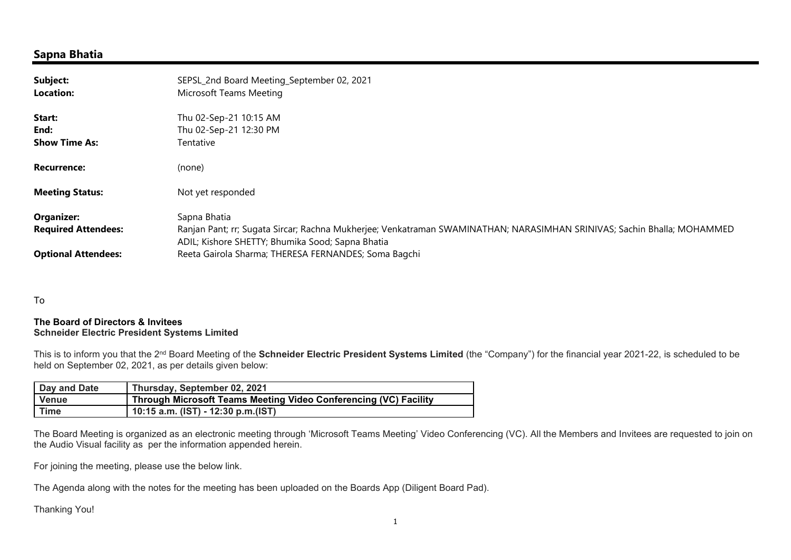### Sapna Bhatia

| Subject:<br><b>Location:</b> | SEPSL_2nd Board Meeting_September 02, 2021<br>Microsoft Teams Meeting                                                                                                       |
|------------------------------|-----------------------------------------------------------------------------------------------------------------------------------------------------------------------------|
| Start:                       | Thu 02-Sep-21 10:15 AM                                                                                                                                                      |
| End:                         | Thu 02-Sep-21 12:30 PM                                                                                                                                                      |
| <b>Show Time As:</b>         | Tentative                                                                                                                                                                   |
| <b>Recurrence:</b>           | (none)                                                                                                                                                                      |
| <b>Meeting Status:</b>       | Not yet responded                                                                                                                                                           |
| <b>Organizer:</b>            | Sapna Bhatia                                                                                                                                                                |
| <b>Required Attendees:</b>   | Ranjan Pant; rr; Sugata Sircar; Rachna Mukherjee; Venkatraman SWAMINATHAN; NARASIMHAN SRINIVAS; Sachin Bhalla; MOHAMMED<br>ADIL; Kishore SHETTY; Bhumika Sood; Sapna Bhatia |
| <b>Optional Attendees:</b>   | Reeta Gairola Sharma; THERESA FERNANDES; Soma Bagchi                                                                                                                        |

To

#### The Board of Directors & Invitees Schneider Electric President Systems Limited

This is to inform you that the 2<sup>nd</sup> Board Meeting of the Schneider Electric President Systems Limited (the "Company") for the financial year 2021-22, is scheduled to be held on September 02, 2021, as per details given below:

| Day and Date | Thursday, September 02, 2021                                     |
|--------------|------------------------------------------------------------------|
| <b>Venue</b> | Through Microsoft Teams Meeting Video Conferencing (VC) Facility |
| <b>Time</b>  | 10:15 a.m. (IST) - 12:30 p.m.(IST)                               |

The Board Meeting is organized as an electronic meeting through 'Microsoft Teams Meeting' Video Conferencing (VC). All the Members and Invitees are requested to join on the Audio Visual facility as per the information appended herein.

For joining the meeting, please use the below link.

The Agenda along with the notes for the meeting has been uploaded on the Boards App (Diligent Board Pad).

Thanking You!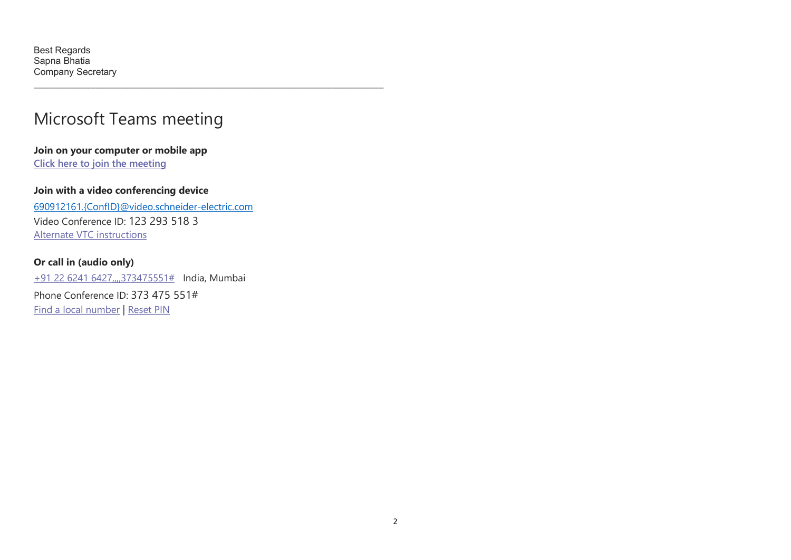## Microsoft Teams meeting

\_\_\_\_\_\_\_\_\_\_\_\_\_\_\_\_\_\_\_\_\_\_\_\_\_\_\_\_\_\_\_\_\_\_\_\_\_\_\_\_\_\_\_\_\_\_\_\_\_\_\_\_\_\_\_\_\_\_\_\_\_\_\_\_\_\_\_\_

Join on your computer or mobile app Click here to join the meeting

#### Join with a video conferencing device

690912161.{ConfID}@video.schneider-electric.com Video Conference ID: 123 293 518 3 Alternate VTC instructions

### Or call in (audio only)

+91 22 6241 6427,,,,373475551# India, Mumbai

Phone Conference ID: 373 475 551# Find a local number | Reset PIN